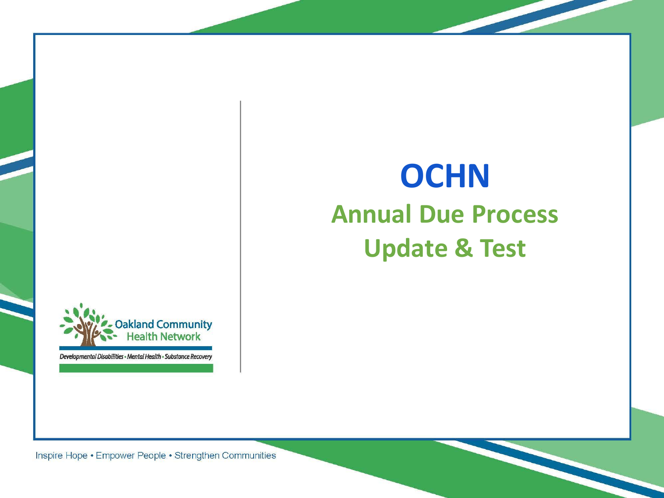

Developmental Disabilities - Mental Health - Substance Recovery

# **OCHN Annual Due Process Update & Test**

Inspire Hope • Empower People • Strengthen Communities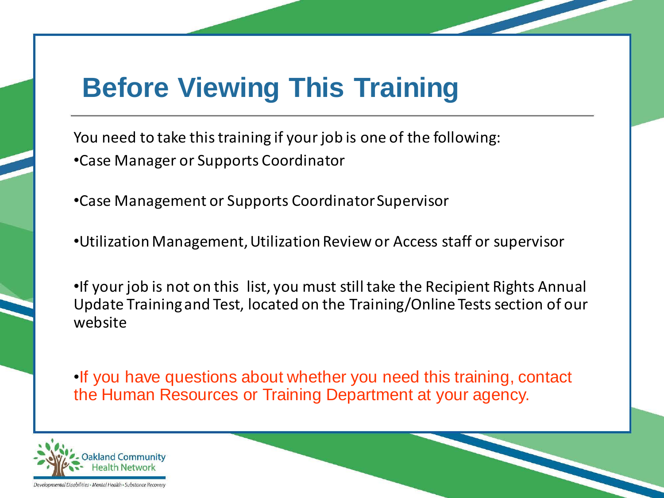#### **Before Viewing This Training**

You need to take this training if your job is one of the following: •Case Manager or Supports Coordinator

•Case Management or Supports Coordinator Supervisor

•Utilization Management, Utilization Review or Access staff or supervisor

•If your job is not on this list, you must still take the Recipient Rights Annual Update Training and Test, located on the Training/Online Tests section of our website

•If you have questions about whether you need this training, contact the Human Resources or Training Department at your agency.



Developmental Disabilities · Mental Health · Substance Recover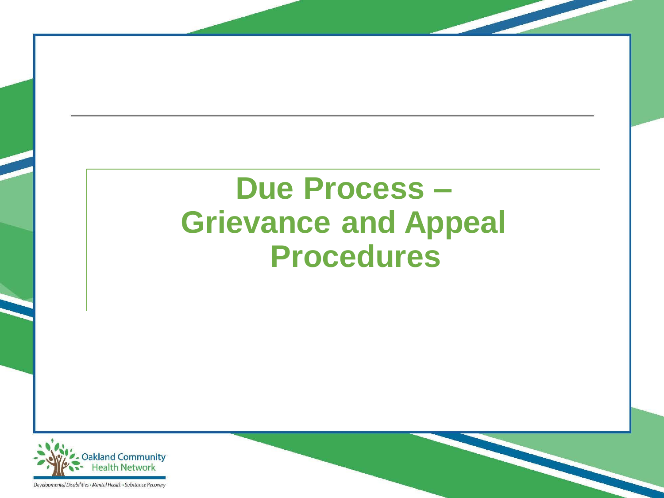# **Due Process – Grievance and Appeal Procedures**

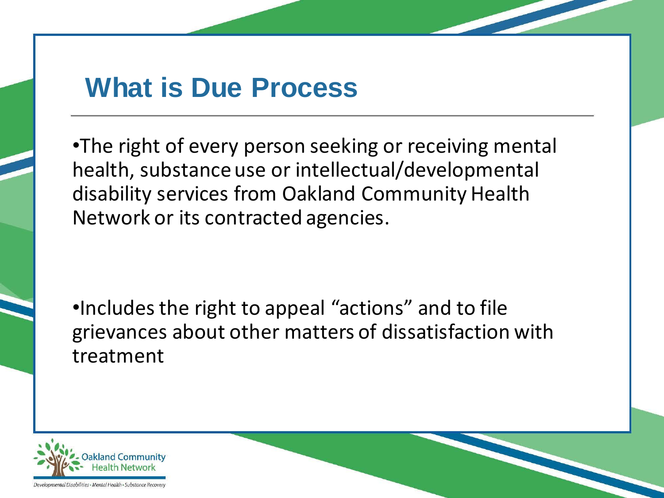#### **What is Due Process**

•The right of every person seeking or receiving mental health, substance use or intellectual/developmental disability services from Oakland Community Health Network or its contracted agencies.

•Includes the right to appeal "actions" and to file grievances about other matters of dissatisfaction with treatment



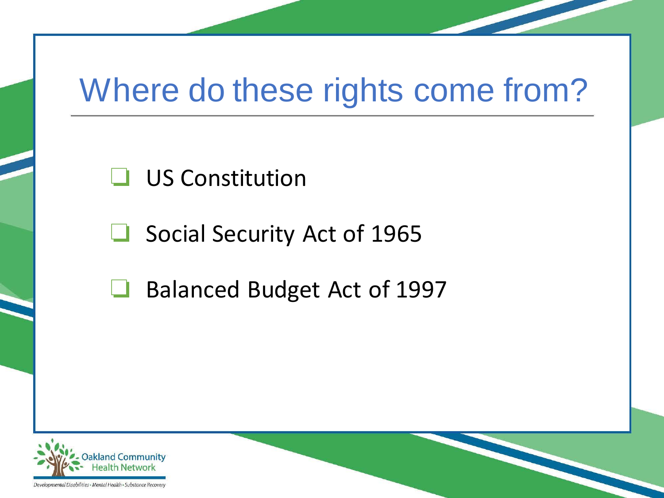# Where do these rights come from?

❏ US Constitution

❏ Social Security Act of 1965

❏ Balanced Budget Act of 1997

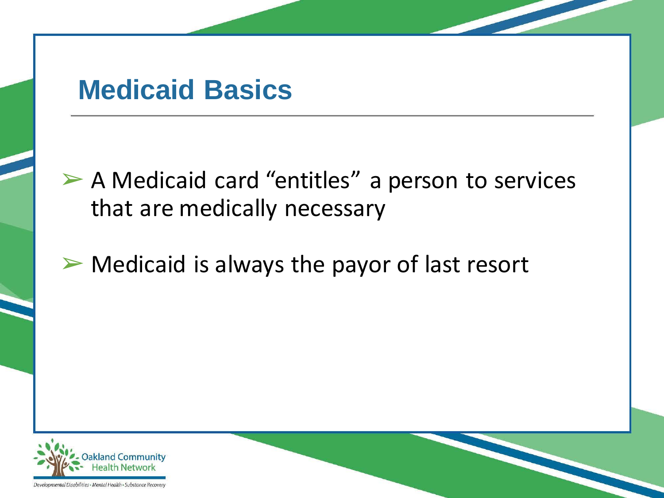#### **Medicaid Basics**

➢ A Medicaid card "entitles" a person to services that are medically necessary

 $\triangleright$  Medicaid is always the payor of last resort

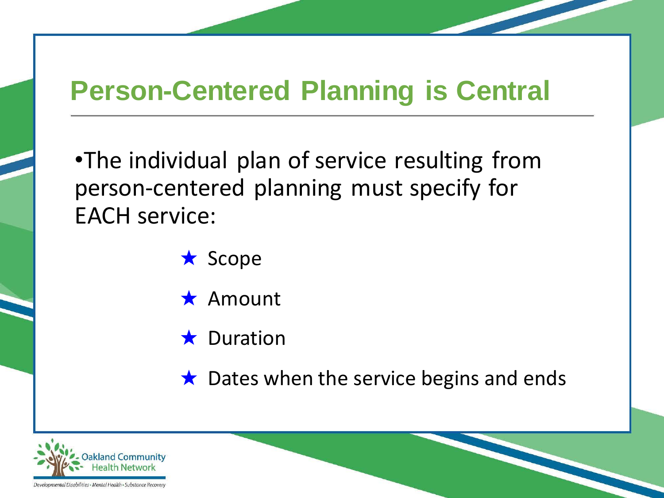#### **Person-Centered Planning is Central**

•The individual plan of service resulting from person-centered planning must specify for EACH service:

- ★ Scope
- ★ Amount
- **★ Duration**
- $\star$  Dates when the service begins and ends

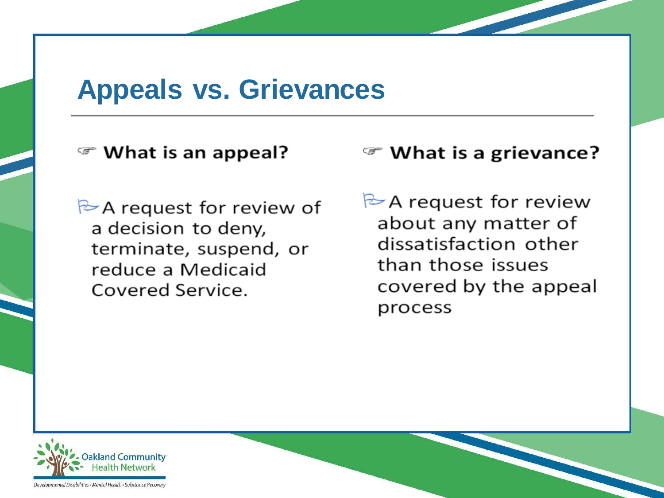#### **Appeals vs. Grievances**

#### <sup>•</sup> What is an appeal?

 $\triangleright$  A request for review of a decision to deny, terminate, suspend, or reduce a Medicaid Covered Service.

#### ☞ What is a grievance?

 $\triangleright$  A request for review about any matter of dissatisfaction other than those issues covered by the appeal process



Developmental Disabilities · Mental Health · Substance Recovery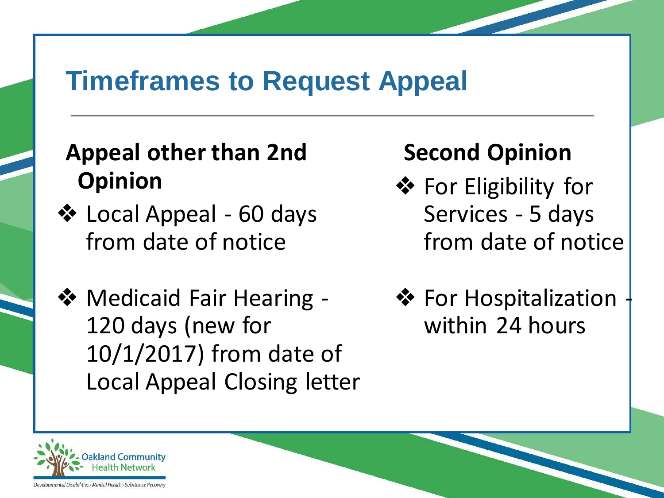#### **Timeframes to Request Appeal**

#### **Appeal other than 2nd Opinion**

- ❖ Local Appeal 60 days from date of notice
- ❖ Medicaid Fair Hearing 120 days (new for 10/1/2017) from date of Local Appeal Closing letter

#### **Second Opinion**

- ❖ For Eligibility for Services - 5 days from date of notice
- **❖ For Hospitalization** within 24 hours

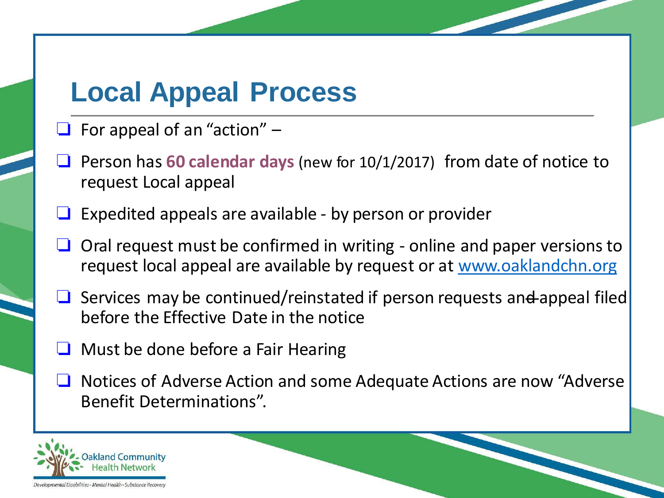#### **Local Appeal Process**

- $\Box$  For appeal of an "action"  $-$
- ❏ Person has **60 calendar days** (new for 10/1/2017) from date of notice to request Local appeal
- ❏ Expedited appeals are available by person or provider
- ❏ Oral request must be confirmed in writing online and paper versions to request local appeal are available by request or at [www.oaklandchn.org](http://www.oaklandchn.org/)
- Services may be continued/reinstated if person requests an<del>d</del> appeal filed before the Effective Date in the notice
- ❏ Must be done before a Fair Hearing
- ❏ Notices of Adverse Action and some Adequate Actions are now "Adverse Benefit Determinations".

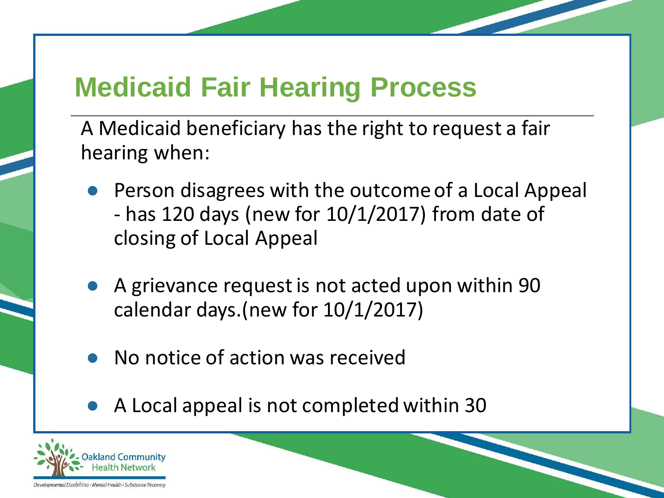## **Medicaid Fair Hearing Process**

A Medicaid beneficiary has the right to request a fair hearing when:

- Person disagrees with the outcome of a Local Appeal - has 120 days (new for 10/1/2017) from date of closing of Local Appeal
- A grievance request is not acted upon within 90 calendar days.(new for 10/1/2017)
- No notice of action was received
- A Local appeal is not completed within 30

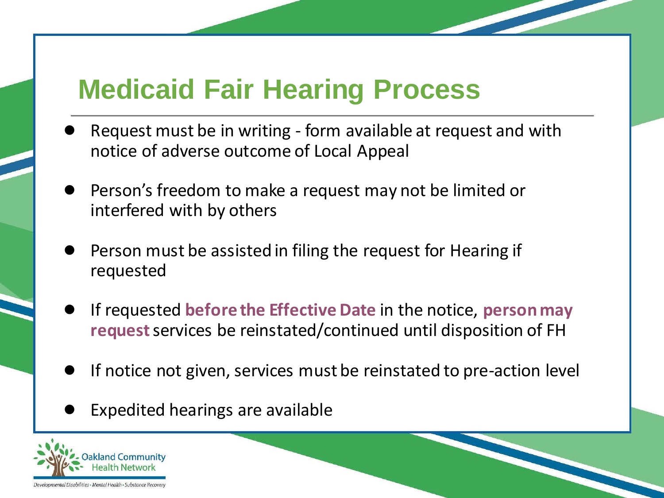### **Medicaid Fair Hearing Process**

- Request must be in writing form available at request and with notice of adverse outcome of Local Appeal
- Person's freedom to make a request may not be limited or interfered with by others
- Person must be assisted in filing the request for Hearing if requested
- If requested **before the Effective Date** in the notice, **person may request**services be reinstated/continued until disposition of FH
- If notice not given, services must be reinstated to pre-action level
- Expedited hearings are available

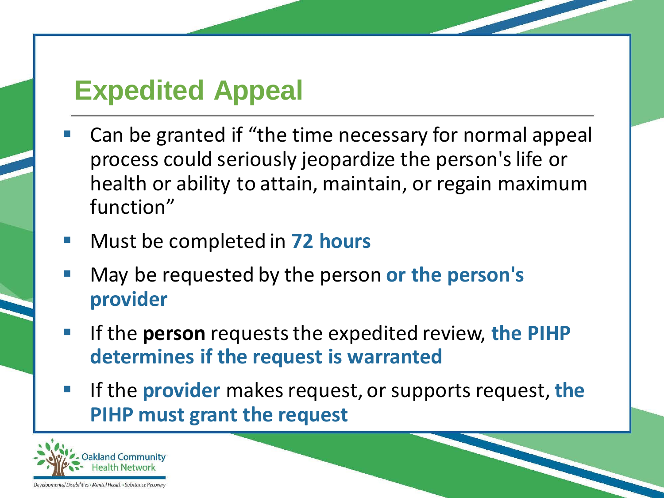#### **Expedited Appeal**

- Can be granted if "the time necessary for normal appeal process could seriously jeopardize the person's life or health or ability to attain, maintain, or regain maximum function"
- Must be completed in **72 hours**
- May be requested by the person or the person's **provider**
- If the **person** requests the expedited review, the PIHP **determines if the request is warranted**
- If the **provider** makes request, or supports request, **the PIHP must grant the request**

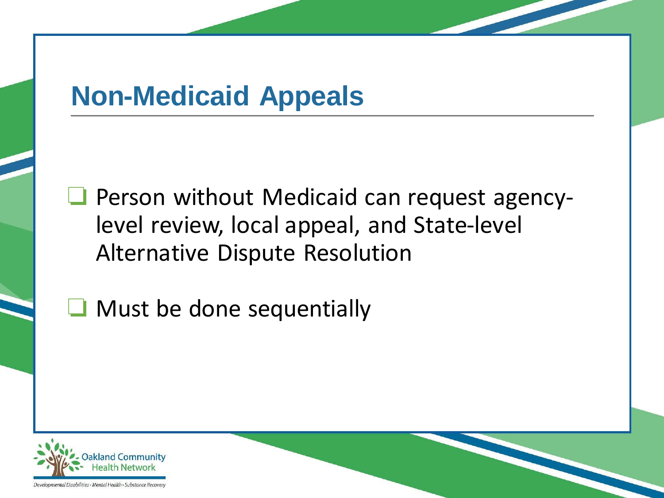### **Non-Medicaid Appeals**

❏ Person without Medicaid can request agencylevel review, local appeal, and State-level Alternative Dispute Resolution

❏ Must be done sequentially

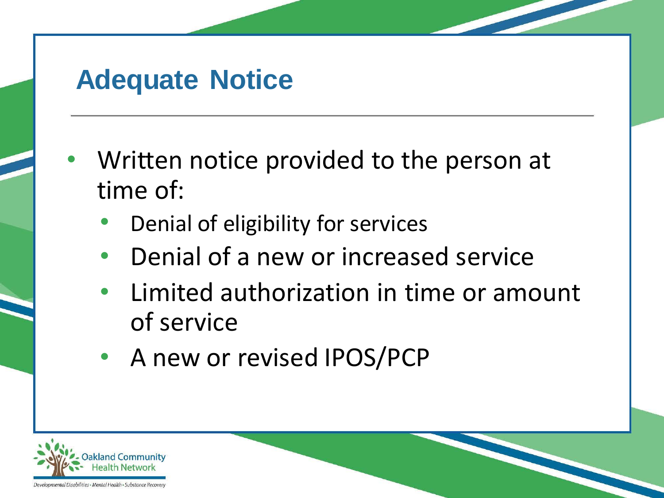#### **Adequate Notice**

- Written notice provided to the person at time of:
	- Denial of eligibility for services
	- Denial of a new or increased service
	- Limited authorization in time or amount of service
	- A new or revised IPOS/PCP

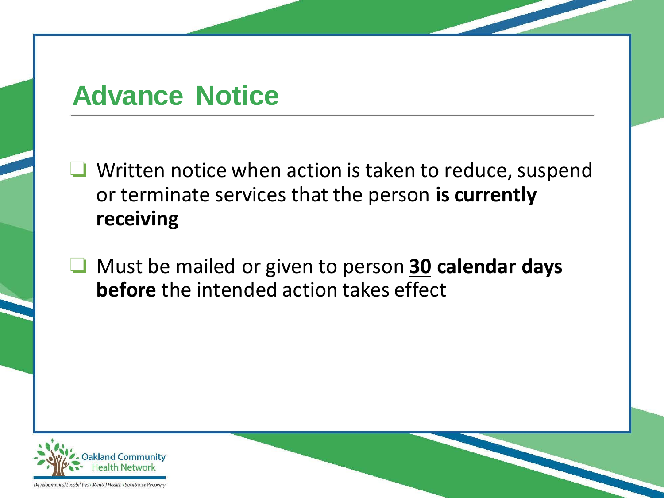#### **Advance Notice**

❏ Written notice when action is taken to reduce, suspend or terminate services that the person **is currently receiving**

❏ Must be mailed or given to person **30 calendar days before** the intended action takes effect

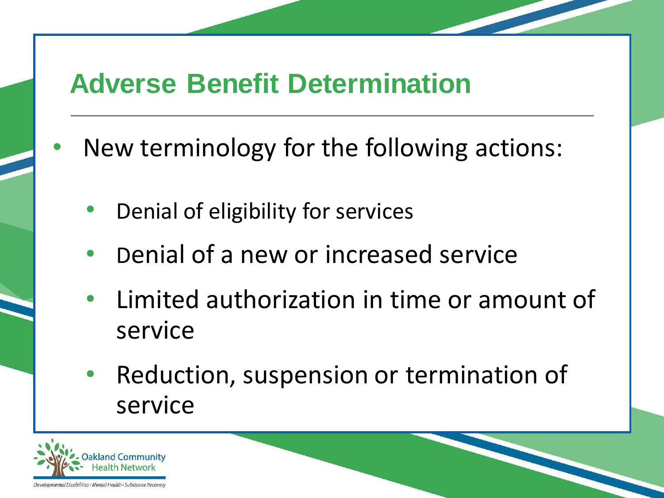#### **Adverse Benefit Determination**

- New terminology for the following actions:
	- Denial of eligibility for services
	- Denial of a new or increased service
	- Limited authorization in time or amount of service
	- Reduction, suspension or termination of service

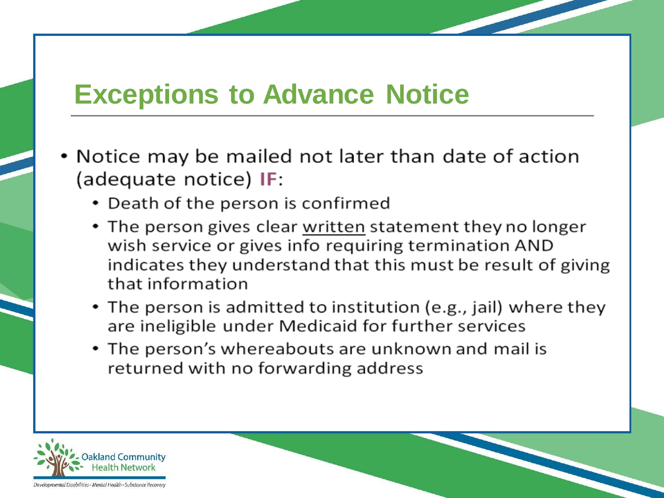#### **Exceptions to Advance Notice**

- Notice may be mailed not later than date of action (adequate notice) IF:
	- Death of the person is confirmed
	- The person gives clear written statement they no longer wish service or gives info requiring termination AND indicates they understand that this must be result of giving that information
	- The person is admitted to institution (e.g., jail) where they are ineligible under Medicaid for further services
	- The person's whereabouts are unknown and mail is returned with no forwarding address

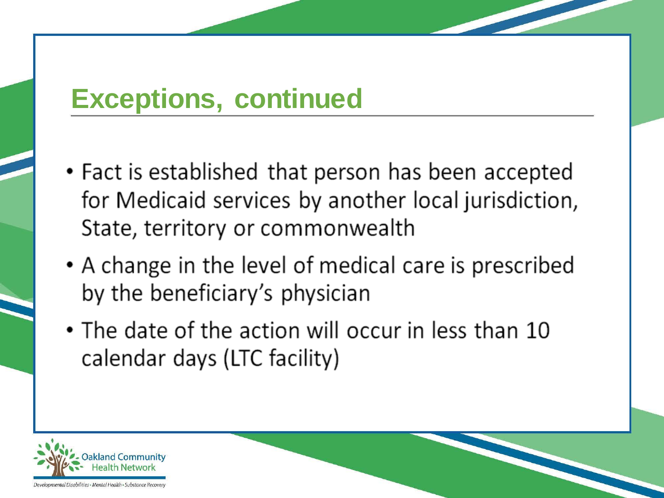#### **Exceptions, continued**

- Fact is established that person has been accepted for Medicaid services by another local jurisdiction, State, territory or commonwealth
- A change in the level of medical care is prescribed by the beneficiary's physician
- The date of the action will occur in less than 10 calendar days (LTC facility)

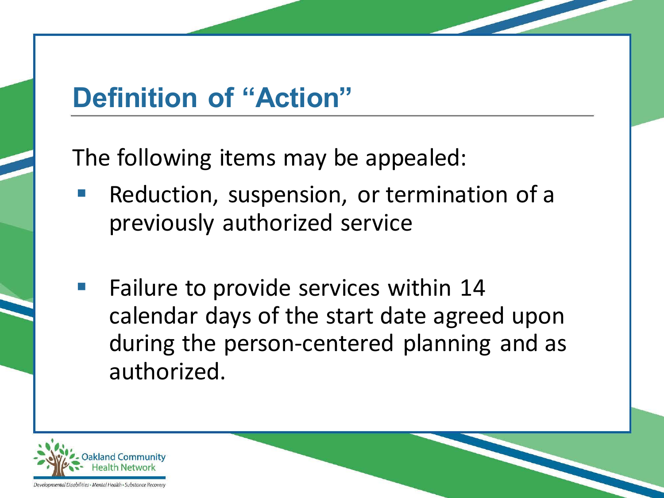## **Definition of "Action"**

The following items may be appealed:

- Reduction, suspension, or termination of a previously authorized service
- Failure to provide services within 14 calendar days of the start date agreed upon during the person-centered planning and as authorized.

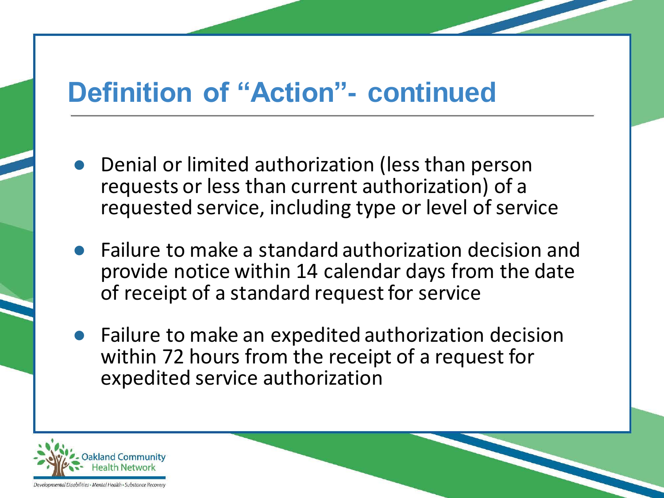#### **Definition of "Action"- continued**

- Denial or limited authorization (less than person requests or less than current authorization) of a requested service, including type or level of service
- Failure to make a standard authorization decision and provide notice within 14 calendar days from the date of receipt of a standard request for service
- Failure to make an expedited authorization decision within 72 hours from the receipt of a request for expedited service authorization

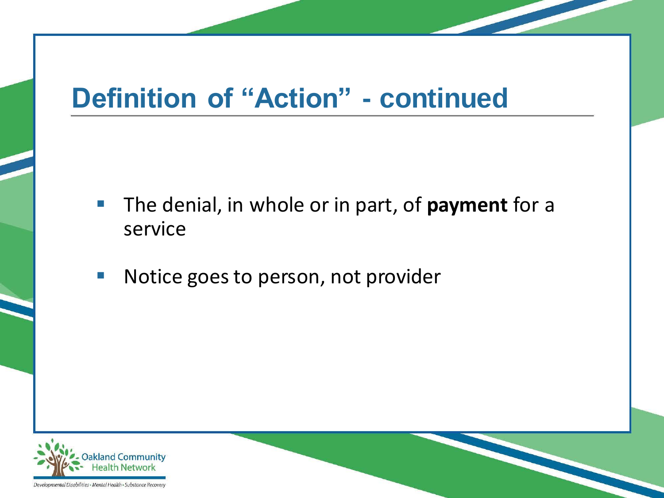## **Definition of "Action" - continued**

- The denial, in whole or in part, of **payment** for a service
- Notice goes to person, not provider

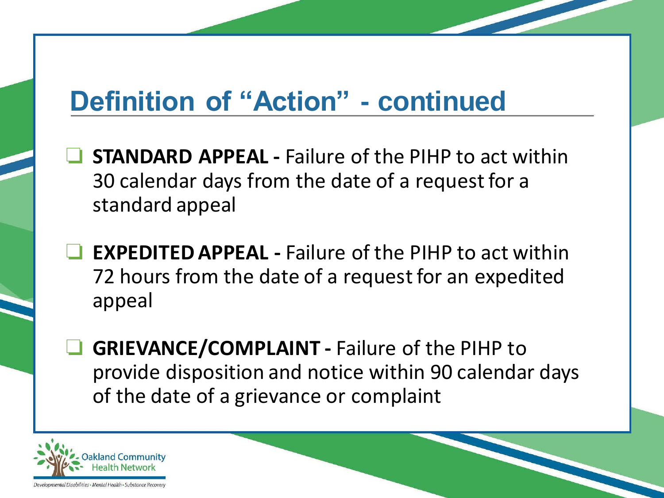## **Definition of "Action" - continued**

- ❏ **STANDARD APPEAL -** Failure of the PIHP to act within 30 calendar days from the date of a request for a standard appeal
- **EXPEDITED APPEAL -** Failure of the PIHP to act within 72 hours from the date of a request for an expedited appeal
- ❏ **GRIEVANCE/COMPLAINT -** Failure of the PIHP to provide disposition and notice within 90 calendar days of the date of a grievance or complaint

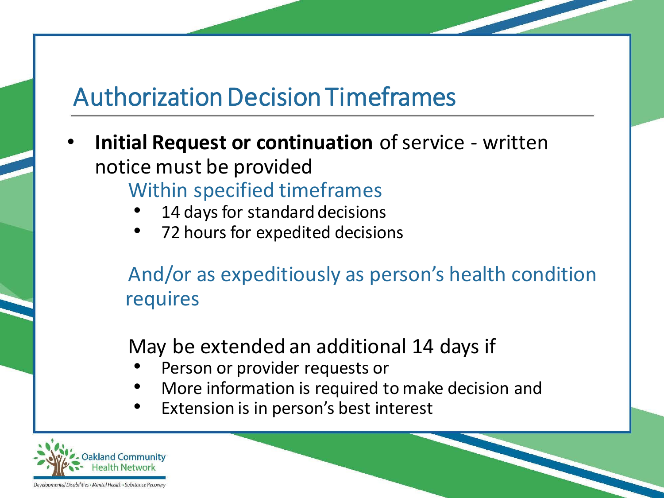#### Authorization Decision Timeframes

- **Initial Request or continuation** of service written notice must be provided Within specified timeframes
	- 14 days for standard decisions
	- 72 hours for expedited decisions

And/or as expeditiously as person's health condition requires

May be extended an additional 14 days if

- Person or provider requests or
- More information is required to make decision and
- Extension is in person's best interest

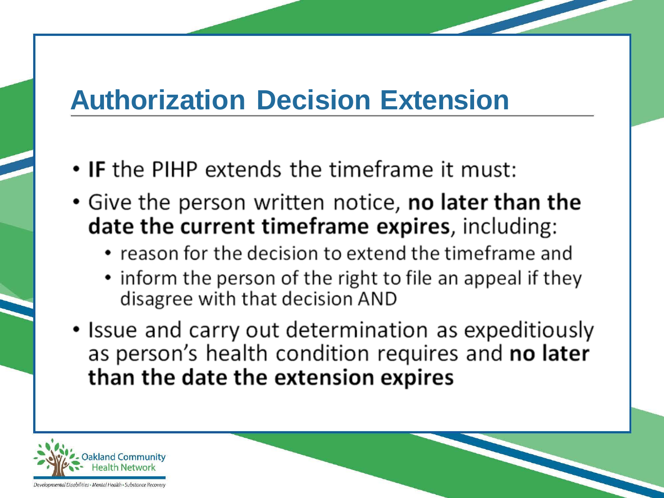## **Authorization Decision Extension**

- IF the PIHP extends the timeframe it must:
- Give the person written notice, no later than the date the current timeframe expires, including:
	- reason for the decision to extend the timeframe and
	- inform the person of the right to file an appeal if they disagree with that decision AND
- Issue and carry out determination as expeditiously as person's health condition requires and no later than the date the extension expires

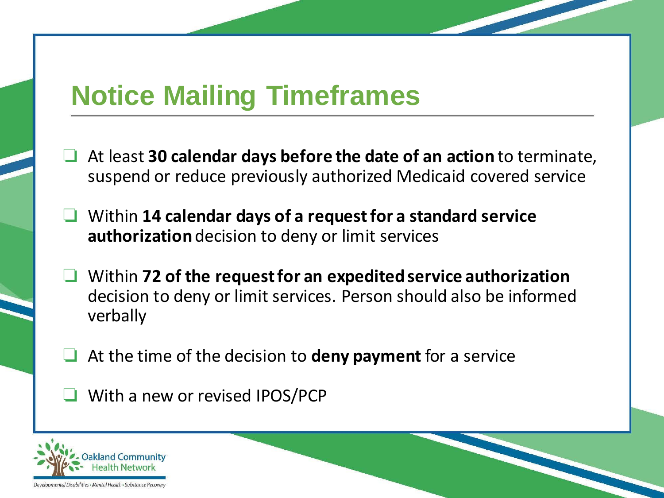## **Notice Mailing Timeframes**

- ❏ At least **30 calendar days before the date of an action** to terminate, suspend or reduce previously authorized Medicaid covered service
- ❏ Within **14 calendar days of a request for a standard service authorization** decision to deny or limit services
- ❏ Within **72 of the request for an expedited service authorization** decision to deny or limit services. Person should also be informed verbally
- ❏ At the time of the decision to **deny payment** for a service
- ❏ With a new or revised IPOS/PCP

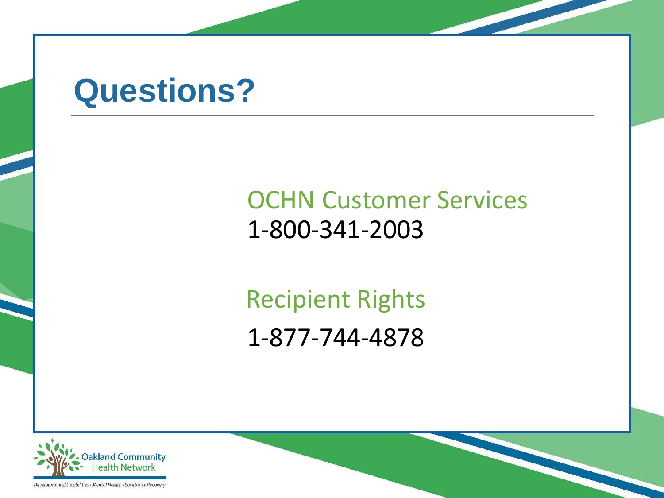# **Questions?**

#### OCHN Customer Services 1-800-341-2003

Recipient Rights 1-877-744-4878